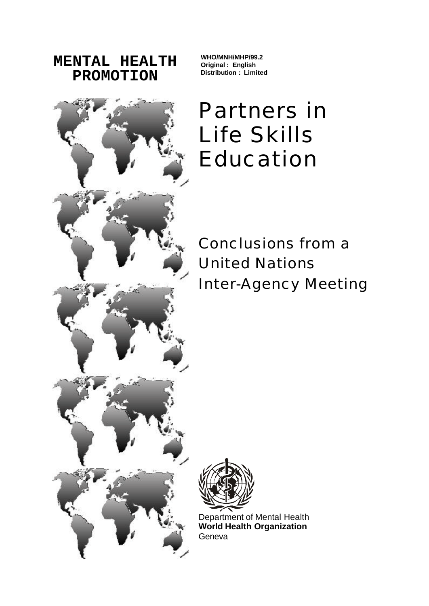**MENTAL HEALTH PROMOTION**

**WHO/MNH/MHP/99.2 Original : English Distribution : Limited**

# Partners in Life Skills Education

Conclusions from a United Nations Inter-Agency Meeting



Department of Mental Health **World Health Organization Geneva** 

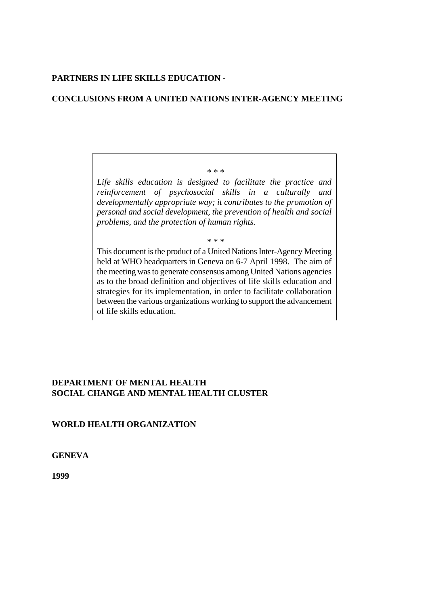## **PARTNERS IN LIFE SKILLS EDUCATION -**

## **CONCLUSIONS FROM A UNITED NATIONS INTER-AGENCY MEETING**

*Life skills education is designed to facilitate the practice and reinforcement of psychosocial skills in a culturally and developmentally appropriate way; it contributes to the promotion of personal and social development, the prevention of health and social problems, and the protection of human rights.*

 *\* \* \**

 *\* \* \**

This document is the product of a United Nations Inter-Agency Meeting held at WHO headquarters in Geneva on 6-7 April 1998. The aim of the meeting was to generate consensus among United Nations agencies as to the broad definition and objectives of life skills education and strategies for its implementation, in order to facilitate collaboration between the various organizations working to support the advancement of life skills education.

## **DEPARTMENT OF MENTAL HEALTH SOCIAL CHANGE AND MENTAL HEALTH CLUSTER**

## **WORLD HEALTH ORGANIZATION**

**GENEVA**

**1999**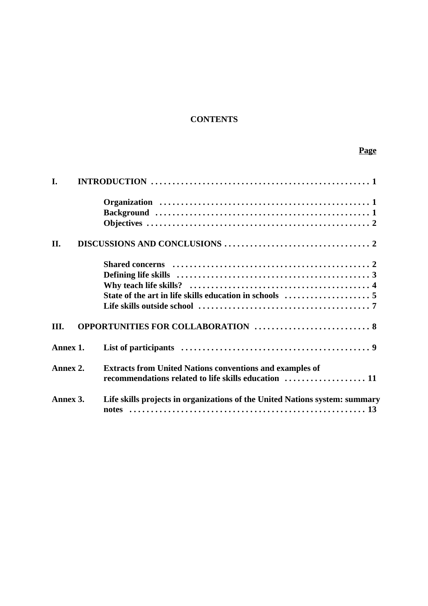# **CONTENTS**

# **Page**

| I.       |                                                                             |
|----------|-----------------------------------------------------------------------------|
|          |                                                                             |
|          |                                                                             |
|          |                                                                             |
| II.      |                                                                             |
|          |                                                                             |
|          |                                                                             |
|          |                                                                             |
|          |                                                                             |
|          |                                                                             |
| III.     | OPPORTUNITIES FOR COLLABORATION  8                                          |
| Annex 1. |                                                                             |
| Annex 2. | <b>Extracts from United Nations conventions and examples of</b>             |
|          | recommendations related to life skills education  11                        |
| Annex 3. | Life skills projects in organizations of the United Nations system: summary |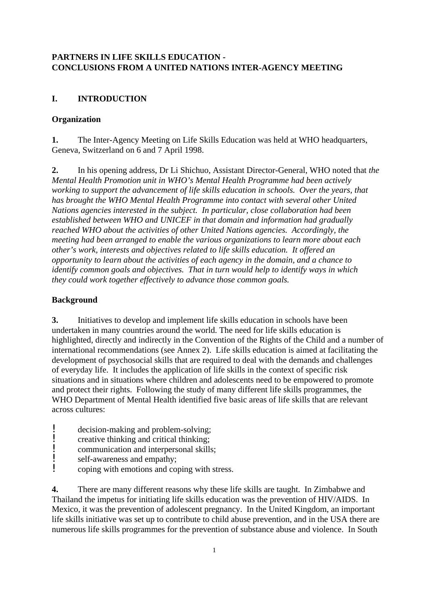## **PARTNERS IN LIFE SKILLS EDUCATION - CONCLUSIONS FROM A UNITED NATIONS INTER-AGENCY MEETING**

## **I. INTRODUCTION**

## **Organization**

**1.** The Inter-Agency Meeting on Life Skills Education was held at WHO headquarters, Geneva, Switzerland on 6 and 7 April 1998.

**2.** In his opening address, Dr Li Shichuo, Assistant Director-General, WHO noted that *the Mental Health Promotion unit in WHO's Mental Health Programme had been actively working to support the advancement of life skills education in schools. Over the years, that has brought the WHO Mental Health Programme into contact with several other United Nations agencies interested in the subject. In particular, close collaboration had been established between WHO and UNICEF in that domain and information had gradually reached WHO about the activities of other United Nations agencies. Accordingly, the meeting had been arranged to enable the various organizations to learn more about each other's work, interests and objectives related to life skills education. It offered an opportunity to learn about the activities of each agency in the domain, and a chance to identify common goals and objectives. That in turn would help to identify ways in which they could work together effectively to advance those common goals.*

## **Background**

**3.** Initiatives to develop and implement life skills education in schools have been undertaken in many countries around the world. The need for life skills education is highlighted, directly and indirectly in the Convention of the Rights of the Child and a number of international recommendations (see Annex 2). Life skills education is aimed at facilitating the development of psychosocial skills that are required to deal with the demands and challenges of everyday life. It includes the application of life skills in the context of specific risk situations and in situations where children and adolescents need to be empowered to promote and protect their rights. Following the study of many different life skills programmes, the WHO Department of Mental Health identified five basic areas of life skills that are relevant across cultures:

- decision-making and problem-solving;<br>late organize thinking and critical thinking:
- **EXECUTE:** creative thinking and critical thinking;<br>communication and interpersonal skills
- $\frac{1}{\text{commutation and interpolating}}$  self-awareness and empathy:
- self-awareness and empathy;<br>coping with emotions and compared
- ! coping with emotions and coping with stress.

**4.** There are many different reasons why these life skills are taught. In Zimbabwe and Thailand the impetus for initiating life skills education was the prevention of HIV/AIDS. In Mexico, it was the prevention of adolescent pregnancy. In the United Kingdom, an important life skills initiative was set up to contribute to child abuse prevention, and in the USA there are numerous life skills programmes for the prevention of substance abuse and violence. In South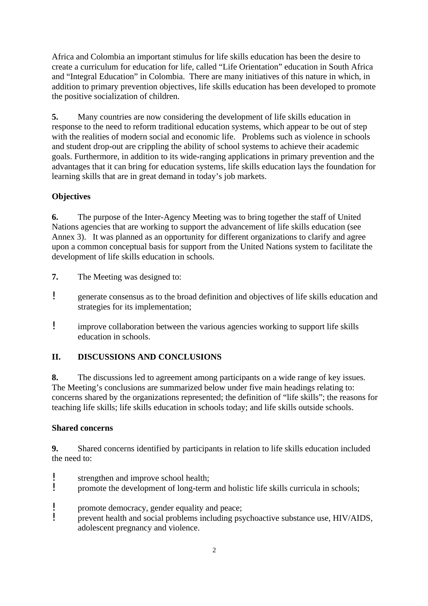Africa and Colombia an important stimulus for life skills education has been the desire to create a curriculum for education for life, called "Life Orientation" education in South Africa and "Integral Education" in Colombia. There are many initiatives of this nature in which, in addition to primary prevention objectives, life skills education has been developed to promote the positive socialization of children.

**5.** Many countries are now considering the development of life skills education in response to the need to reform traditional education systems, which appear to be out of step with the realities of modern social and economic life. Problems such as violence in schools and student drop-out are crippling the ability of school systems to achieve their academic goals. Furthermore, in addition to its wide-ranging applications in primary prevention and the advantages that it can bring for education systems, life skills education lays the foundation for learning skills that are in great demand in today's job markets.

## **Objectives**

**6.** The purpose of the Inter-Agency Meeting was to bring together the staff of United Nations agencies that are working to support the advancement of life skills education (see Annex 3). It was planned as an opportunity for different organizations to clarify and agree upon a common conceptual basis for support from the United Nations system to facilitate the development of life skills education in schools.

- **7.** The Meeting was designed to:
- ! generate consensus as to the broad definition and objectives of life skills education and strategies for its implementation;
- ! improve collaboration between the various agencies working to support life skills education in schools.

## **II. DISCUSSIONS AND CONCLUSIONS**

**8.** The discussions led to agreement among participants on a wide range of key issues. The Meeting's conclusions are summarized below under five main headings relating to: concerns shared by the organizations represented; the definition of "life skills"; the reasons for teaching life skills; life skills education in schools today; and life skills outside schools.

## **Shared concerns**

**9.** Shared concerns identified by participants in relation to life skills education included the need to:

- Extengthen and improve school health;<br>not the development of long-term
- ! promote the development of long-term and holistic life skills curricula in schools;
- **EXECUTE:** promote democracy, gender equality and peace;<br>**I** prevent health and social problems including psy
- ! prevent health and social problems including psychoactive substance use, HIV/AIDS, adolescent pregnancy and violence.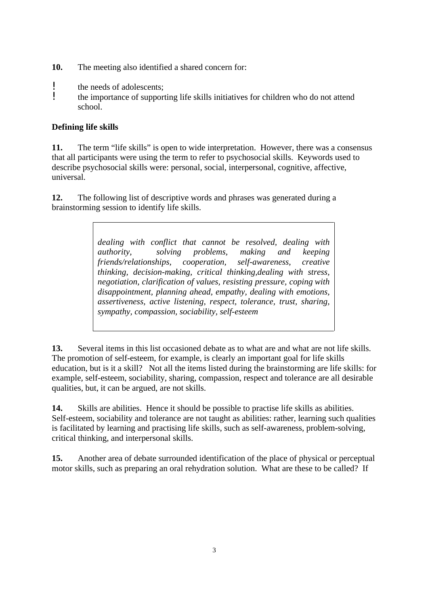- **10.** The meeting also identified a shared concern for:
- : the needs of adolescents;<br>
the importance of support
- ! the importance of supporting life skills initiatives for children who do not attend school.

## **Defining life skills**

**11.** The term "life skills" is open to wide interpretation. However, there was a consensus that all participants were using the term to refer to psychosocial skills. Keywords used to describe psychosocial skills were: personal, social, interpersonal, cognitive, affective, universal.

**12.** The following list of descriptive words and phrases was generated during a brainstorming session to identify life skills.

> *dealing with conflict that cannot be resolved, dealing with authority, solving problems, making and keeping friends/relationships, cooperation, self-awareness, creative thinking, decision-making, critical thinking,dealing with stress, negotiation, clarification of values, resisting pressure, coping with disappointment, planning ahead, empathy, dealing with emotions, assertiveness, active listening, respect, tolerance, trust, sharing, sympathy, compassion, sociability, self-esteem*

**13.** Several items in this list occasioned debate as to what are and what are not life skills. The promotion of self-esteem, for example, is clearly an important goal for life skills education, but is it a skill? Not all the items listed during the brainstorming are life skills: for example, self-esteem, sociability, sharing, compassion, respect and tolerance are all desirable qualities, but, it can be argued, are not skills.

**14.** Skills are abilities. Hence it should be possible to practise life skills as abilities. Self-esteem, sociability and tolerance are not taught as abilities: rather, learning such qualities is facilitated by learning and practising life skills, such as self-awareness, problem-solving, critical thinking, and interpersonal skills.

**15.** Another area of debate surrounded identification of the place of physical or perceptual motor skills, such as preparing an oral rehydration solution. What are these to be called? If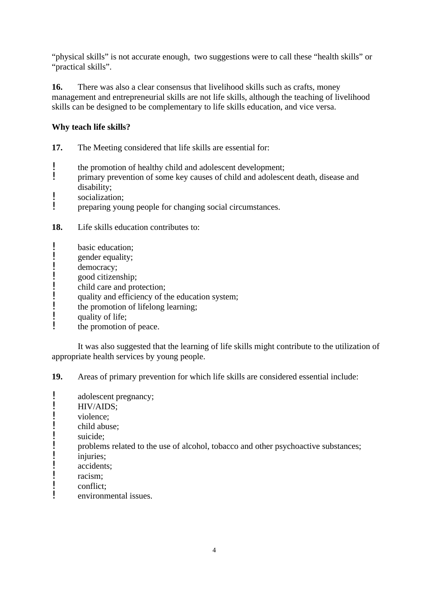"physical skills" is not accurate enough, two suggestions were to call these "health skills" or "practical skills".

**16.** There was also a clear consensus that livelihood skills such as crafts, money management and entrepreneurial skills are not life skills, although the teaching of livelihood skills can be designed to be complementary to life skills education, and vice versa.

## **Why teach life skills?**

**17.** The Meeting considered that life skills are essential for:

- the promotion of healthy child and adolescent development;<br>I minimary prevention of some key causes of child and adolescent
- ! primary prevention of some key causes of child and adolescent death, disease and disability;
- **!** socialization;
- ! preparing young people for changing social circumstances.

**18.** Life skills education contributes to:

- **!** basic education;<br>**!** gender equality:
- $\mathbf{P}$  gender equality;
- ! democracy;<br>! good citizen
- **!** good citizenship;<br>l child care and pro
- child care and protection;
- ! quality and efficiency of the education system;<br>the promotion of lifelong learning:
- **:** the promotion of lifelong learning;<br>quality of life:
- ! quality of life;<br>
the promotion
- the promotion of peace.

It was also suggested that the learning of life skills might contribute to the utilization of appropriate health services by young people.

**19.** Areas of primary prevention for which life skills are considered essential include:

- ! adolescent pregnancy;<br> $HIV/ATIONS$
- $\frac{1}{\text{HIV/AlDS}}$ ;
- ! violence;<br>
l child abus
- $\mathbf{P}$  child abuse;<br> $\mathbf{P}$  suicide:
- ! suicide;<br>| nroblem
- problems related to the use of alcohol, tobacco and other psychoactive substances;<br>iniuries:
- injuries;
- 
- ! accidents;<br>! racism:  $\frac{1}{\text{r}}$  racism;
- ! conflict;
- environmental issues.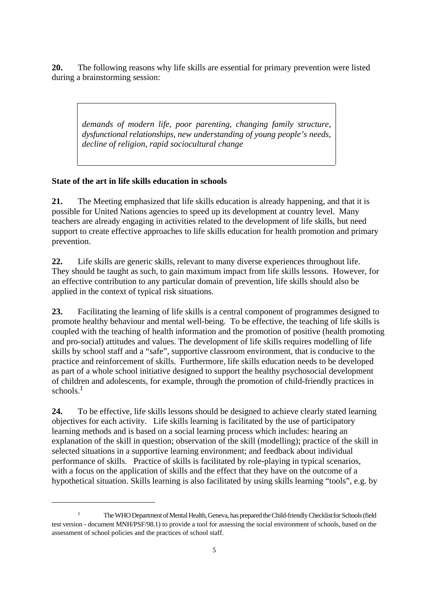**20.** The following reasons why life skills are essential for primary prevention were listed during a brainstorming session:

*demands of modern life, poor parenting, changing family structure, dysfunctional relationships, new understanding of young people's needs, decline of religion, rapid sociocultural change*

## **State of the art in life skills education in schools**

**21.** The Meeting emphasized that life skills education is already happening, and that it is possible for United Nations agencies to speed up its development at country level. Many teachers are already engaging in activities related to the development of life skills, but need support to create effective approaches to life skills education for health promotion and primary prevention.

**22.** Life skills are generic skills, relevant to many diverse experiences throughout life. They should be taught as such, to gain maximum impact from life skills lessons. However, for an effective contribution to any particular domain of prevention, life skills should also be applied in the context of typical risk situations.

**23.** Facilitating the learning of life skills is a central component of programmes designed to promote healthy behaviour and mental well-being. To be effective, the teaching of life skills is coupled with the teaching of health information and the promotion of positive (health promoting and pro-social) attitudes and values. The development of life skills requires modelling of life skills by school staff and a "safe", supportive classroom environment, that is conducive to the practice and reinforcement of skills. Furthermore, life skills education needs to be developed as part of a whole school initiative designed to support the healthy psychosocial development of children and adolescents, for example, through the promotion of child-friendly practices in schools $1$ 

**24.** To be effective, life skills lessons should be designed to achieve clearly stated learning objectives for each activity. Life skills learning is facilitated by the use of participatory learning methods and is based on a social learning process which includes: hearing an explanation of the skill in question; observation of the skill (modelling); practice of the skill in selected situations in a supportive learning environment; and feedback about individual performance of skills. Practice of skills is facilitated by role-playing in typical scenarios, with a focus on the application of skills and the effect that they have on the outcome of a hypothetical situation. Skills learning is also facilitated by using skills learning "tools", e.g. by

The WHO Department of Mental Health, Geneva, has prepared the Child-friendly Checklist for Schools (field 1 test version - document MNH/PSF/98.1) to provide a tool for assessing the social environment of schools, based on the assessment of school policies and the practices of school staff.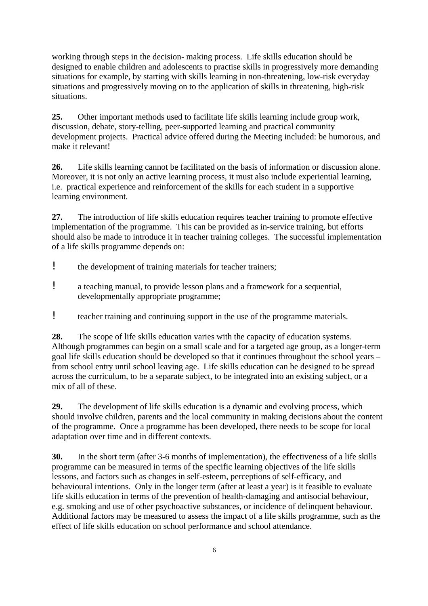working through steps in the decision- making process. Life skills education should be designed to enable children and adolescents to practise skills in progressively more demanding situations for example, by starting with skills learning in non-threatening, low-risk everyday situations and progressively moving on to the application of skills in threatening, high-risk situations.

**25.** Other important methods used to facilitate life skills learning include group work, discussion, debate, story-telling, peer-supported learning and practical community development projects. Practical advice offered during the Meeting included: be humorous, and make it relevant!

**26.** Life skills learning cannot be facilitated on the basis of information or discussion alone. Moreover, it is not only an active learning process, it must also include experiential learning, i.e. practical experience and reinforcement of the skills for each student in a supportive learning environment.

**27.** The introduction of life skills education requires teacher training to promote effective implementation of the programme. This can be provided as in-service training, but efforts should also be made to introduce it in teacher training colleges. The successful implementation of a life skills programme depends on:

- ! the development of training materials for teacher trainers;
- ! a teaching manual, to provide lesson plans and a framework for a sequential, developmentally appropriate programme;
- ! teacher training and continuing support in the use of the programme materials.

**28.** The scope of life skills education varies with the capacity of education systems. Although programmes can begin on a small scale and for a targeted age group, as a longer-term goal life skills education should be developed so that it continues throughout the school years – from school entry until school leaving age. Life skills education can be designed to be spread across the curriculum, to be a separate subject, to be integrated into an existing subject, or a mix of all of these.

**29.** The development of life skills education is a dynamic and evolving process, which should involve children, parents and the local community in making decisions about the content of the programme. Once a programme has been developed, there needs to be scope for local adaptation over time and in different contexts.

**30.** In the short term (after 3-6 months of implementation), the effectiveness of a life skills programme can be measured in terms of the specific learning objectives of the life skills lessons, and factors such as changes in self-esteem, perceptions of self-efficacy, and behavioural intentions. Only in the longer term (after at least a year) is it feasible to evaluate life skills education in terms of the prevention of health-damaging and antisocial behaviour, e.g. smoking and use of other psychoactive substances, or incidence of delinquent behaviour. Additional factors may be measured to assess the impact of a life skills programme, such as the effect of life skills education on school performance and school attendance.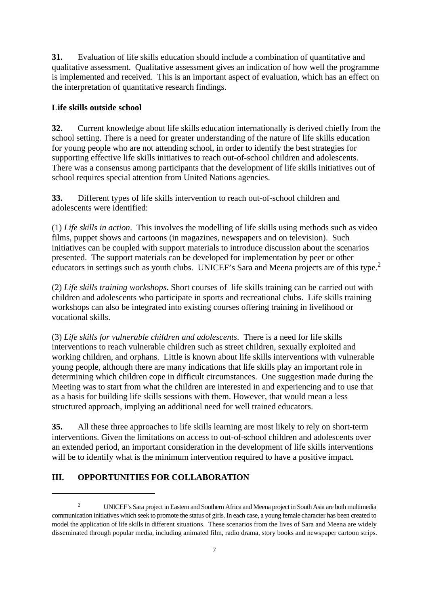**31.** Evaluation of life skills education should include a combination of quantitative and qualitative assessment. Qualitative assessment gives an indication of how well the programme is implemented and received. This is an important aspect of evaluation, which has an effect on the interpretation of quantitative research findings.

## **Life skills outside school**

**32.** Current knowledge about life skills education internationally is derived chiefly from the school setting. There is a need for greater understanding of the nature of life skills education for young people who are not attending school, in order to identify the best strategies for supporting effective life skills initiatives to reach out-of-school children and adolescents. There was a consensus among participants that the development of life skills initiatives out of school requires special attention from United Nations agencies.

**33.** Different types of life skills intervention to reach out-of-school children and adolescents were identified:

(1) *Life skills in action*. This involves the modelling of life skills using methods such as video films, puppet shows and cartoons (in magazines, newspapers and on television). Such initiatives can be coupled with support materials to introduce discussion about the scenarios presented. The support materials can be developed for implementation by peer or other educators in settings such as youth clubs. UNICEF's Sara and Meena projects are of this type.<sup>2</sup>

(2) *Life skills training workshops*. Short courses of life skills training can be carried out with children and adolescents who participate in sports and recreational clubs. Life skills training workshops can also be integrated into existing courses offering training in livelihood or vocational skills.

(3) *Life skills for vulnerable children and adolescents*. There is a need for life skills interventions to reach vulnerable children such as street children, sexually exploited and working children, and orphans. Little is known about life skills interventions with vulnerable young people, although there are many indications that life skills play an important role in determining which children cope in difficult circumstances. One suggestion made during the Meeting was to start from what the children are interested in and experiencing and to use that as a basis for building life skills sessions with them. However, that would mean a less structured approach, implying an additional need for well trained educators.

**35.** All these three approaches to life skills learning are most likely to rely on short-term interventions. Given the limitations on access to out-of-school children and adolescents over an extended period, an important consideration in the development of life skills interventions will be to identify what is the minimum intervention required to have a positive impact.

# **III. OPPORTUNITIES FOR COLLABORATION**

UNICEF's Sara project in Eastern and Southern Africa and Meena project in South Asia are both multimedia 2 communication initiatives which seek to promote the status of girls. In each case, a young female character has been created to model the application of life skills in different situations. These scenarios from the lives of Sara and Meena are widely disseminated through popular media, including animated film, radio drama, story books and newspaper cartoon strips.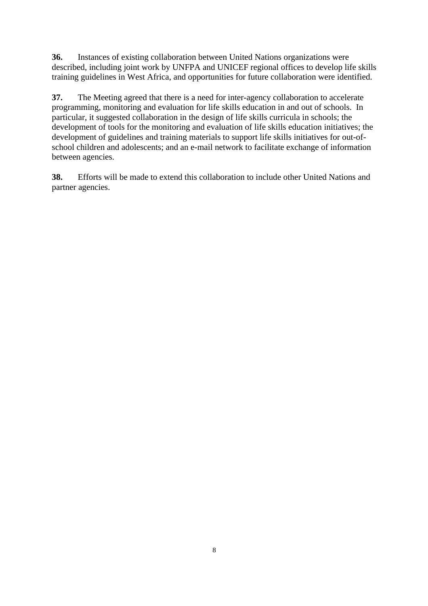**36.** Instances of existing collaboration between United Nations organizations were described, including joint work by UNFPA and UNICEF regional offices to develop life skills training guidelines in West Africa, and opportunities for future collaboration were identified.

**37.** The Meeting agreed that there is a need for inter-agency collaboration to accelerate programming, monitoring and evaluation for life skills education in and out of schools. In particular, it suggested collaboration in the design of life skills curricula in schools; the development of tools for the monitoring and evaluation of life skills education initiatives; the development of guidelines and training materials to support life skills initiatives for out-ofschool children and adolescents; and an e-mail network to facilitate exchange of information between agencies.

**38.** Efforts will be made to extend this collaboration to include other United Nations and partner agencies.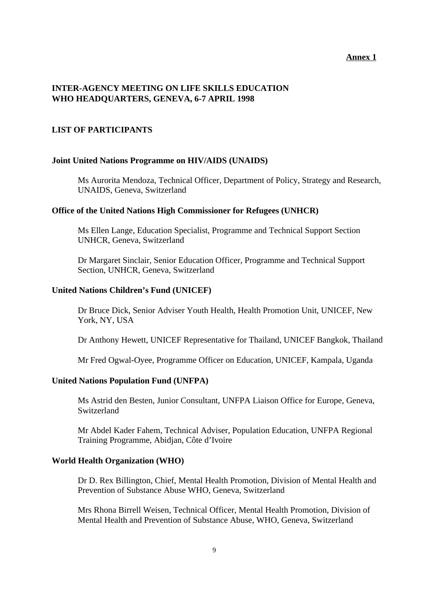#### **Annex 1**

## **INTER-AGENCY MEETING ON LIFE SKILLS EDUCATION WHO HEADQUARTERS, GENEVA, 6-7 APRIL 1998**

## **LIST OF PARTICIPANTS**

#### **Joint United Nations Programme on HIV/AIDS (UNAIDS)**

Ms Aurorita Mendoza, Technical Officer, Department of Policy, Strategy and Research, UNAIDS, Geneva, Switzerland

#### **Office of the United Nations High Commissioner for Refugees (UNHCR)**

Ms Ellen Lange, Education Specialist, Programme and Technical Support Section UNHCR, Geneva, Switzerland

Dr Margaret Sinclair, Senior Education Officer, Programme and Technical Support Section, UNHCR, Geneva, Switzerland

#### **United Nations Children's Fund (UNICEF)**

Dr Bruce Dick, Senior Adviser Youth Health, Health Promotion Unit, UNICEF, New York, NY, USA

Dr Anthony Hewett, UNICEF Representative for Thailand, UNICEF Bangkok, Thailand

Mr Fred Ogwal-Oyee, Programme Officer on Education, UNICEF, Kampala, Uganda

#### **United Nations Population Fund (UNFPA)**

Ms Astrid den Besten, Junior Consultant, UNFPA Liaison Office for Europe, Geneva, Switzerland

Mr Abdel Kader Fahem, Technical Adviser, Population Education, UNFPA Regional Training Programme, Abidjan, Côte d'Ivoire

#### **World Health Organization (WHO)**

Dr D. Rex Billington, Chief, Mental Health Promotion, Division of Mental Health and Prevention of Substance Abuse WHO, Geneva, Switzerland

Mrs Rhona Birrell Weisen, Technical Officer, Mental Health Promotion, Division of Mental Health and Prevention of Substance Abuse, WHO, Geneva, Switzerland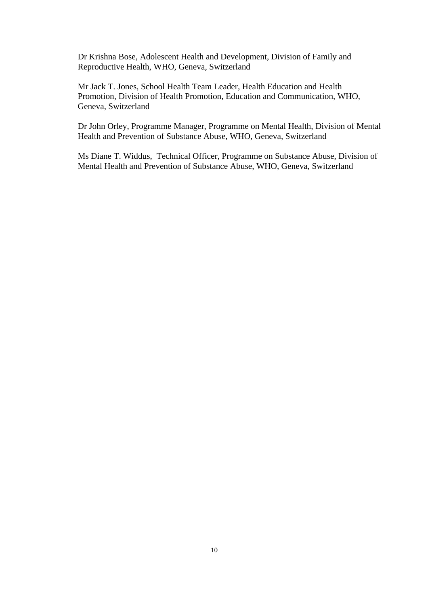Dr Krishna Bose, Adolescent Health and Development, Division of Family and Reproductive Health, WHO, Geneva, Switzerland

Mr Jack T. Jones, School Health Team Leader, Health Education and Health Promotion, Division of Health Promotion, Education and Communication, WHO, Geneva, Switzerland

Dr John Orley, Programme Manager, Programme on Mental Health, Division of Mental Health and Prevention of Substance Abuse, WHO, Geneva, Switzerland

Ms Diane T. Widdus, Technical Officer, Programme on Substance Abuse, Division of Mental Health and Prevention of Substance Abuse, WHO, Geneva, Switzerland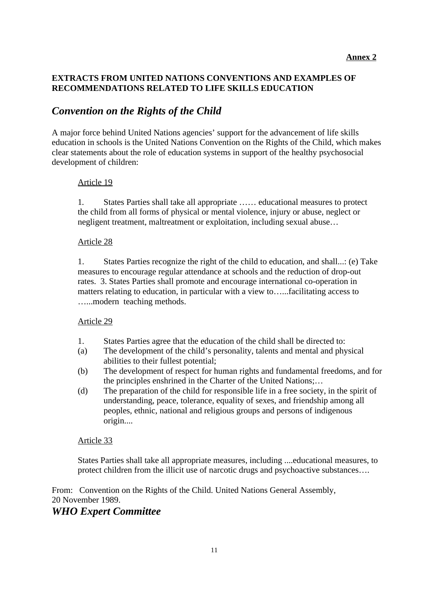## **EXTRACTS FROM UNITED NATIONS CONVENTIONS AND EXAMPLES OF RECOMMENDATIONS RELATED TO LIFE SKILLS EDUCATION**

# *Convention on the Rights of the Child*

A major force behind United Nations agencies' support for the advancement of life skills education in schools is the United Nations Convention on the Rights of the Child, which makes clear statements about the role of education systems in support of the healthy psychosocial development of children:

## Article 19

1*.* States Parties shall take all appropriate …… educational measures to protect the child from all forms of physical or mental violence, injury or abuse, neglect or negligent treatment, maltreatment or exploitation, including sexual abuse…

## Article 28

1. States Parties recognize the right of the child to education, and shall...: (e) Take measures to encourage regular attendance at schools and the reduction of drop-out rates. 3. States Parties shall promote and encourage international co-operation in matters relating to education, in particular with a view to…...facilitating access to …...modern teaching methods.

## Article 29

- 1. States Parties agree that the education of the child shall be directed to:
- (a) The development of the child's personality, talents and mental and physical abilities to their fullest potential;
- (b) The development of respect for human rights and fundamental freedoms, and for the principles enshrined in the Charter of the United Nations;…
- (d) The preparation of the child for responsible life in a free society, in the spirit of understanding, peace, tolerance, equality of sexes, and friendship among all peoples, ethnic, national and religious groups and persons of indigenous origin....

## Article 33

States Parties shall take all appropriate measures, including ....educational measures, to protect children from the illicit use of narcotic drugs and psychoactive substances….

From: Convention on the Rights of the Child. United Nations General Assembly, 20 November 1989. *WHO Expert Committee*

#### 11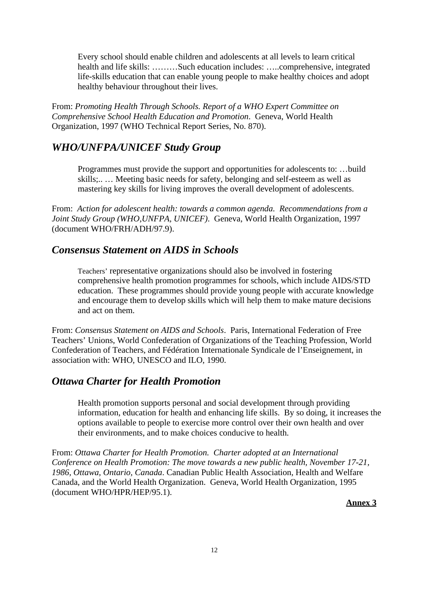Every school should enable children and adolescents at all levels to learn critical health and life skills: ………Such education includes: …..comprehensive, integrated life-skills education that can enable young people to make healthy choices and adopt healthy behaviour throughout their lives.

From: *Promoting Health Through Schools. Report of a WHO Expert Committee on Comprehensive School Health Education and Promotion*. Geneva, World Health Organization, 1997 (WHO Technical Report Series, No. 870).

# *WHO/UNFPA/UNICEF Study Group*

Programmes must provide the support and opportunities for adolescents to: …build skills;.. … Meeting basic needs for safety, belonging and self-esteem as well as mastering key skills for living improves the overall development of adolescents.

From: *Action for adolescent health: towards a common agenda. Recommendations from a Joint Study Group (WHO,UNFPA, UNICEF)*. Geneva, World Health Organization, 1997 (document WHO/FRH/ADH/97.9).

# *Consensus Statement on AIDS in Schools*

Teachers' representative organizations should also be involved in fostering comprehensive health promotion programmes for schools, which include AIDS/STD education. These programmes should provide young people with accurate knowledge and encourage them to develop skills which will help them to make mature decisions and act on them.

From: *Consensus Statement on AIDS and Schools*. Paris, International Federation of Free Teachers' Unions, World Confederation of Organizations of the Teaching Profession, World Confederation of Teachers, and Fédération Internationale Syndicale de l'Enseignement, in association with: WHO, UNESCO and ILO, 1990.

## *Ottawa Charter for Health Promotion*

Health promotion supports personal and social development through providing information, education for health and enhancing life skills. By so doing, it increases the options available to people to exercise more control over their own health and over their environments, and to make choices conducive to health.

From: *Ottawa Charter for Health Promotion. Charter adopted at an International Conference on Health Promotion: The move towards a new public health, November 17-21, 1986, Ottawa, Ontario, Canada*. Canadian Public Health Association, Health and Welfare Canada, and the World Health Organization. Geneva, World Health Organization, 1995 (document WHO/HPR/HEP/95.1).

**Annex 3**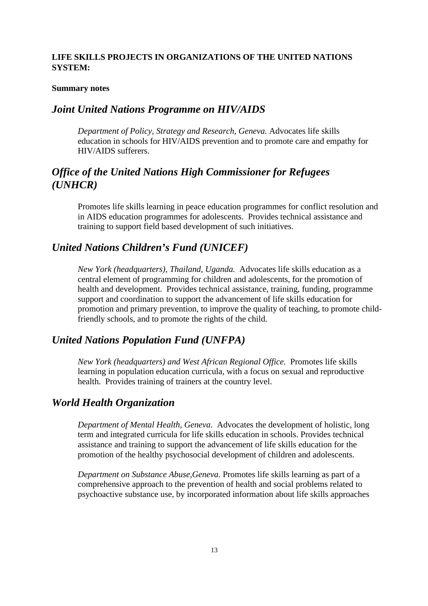## **LIFE SKILLS PROJECTS IN ORGANIZATIONS OF THE UNITED NATIONS SYSTEM:**

#### **Summary notes**

## *Joint United Nations Programme on HIV/AIDS*

*Department of Policy, Strategy and Research, Geneva.* Advocates life skills education in schools for HIV/AIDS prevention and to promote care and empathy for HIV/AIDS sufferers.

# *Office of the United Nations High Commissioner for Refugees (UNHCR)*

Promotes life skills learning in peace education programmes for conflict resolution and in AIDS education programmes for adolescents. Provides technical assistance and training to support field based development of such initiatives.

## *United Nations Children's Fund (UNICEF)*

*New York (headquarters), Thailand, Uganda.* Advocates life skills education as a central element of programming for children and adolescents, for the promotion of health and development. Provides technical assistance, training, funding, programme support and coordination to support the advancement of life skills education for promotion and primary prevention, to improve the quality of teaching, to promote childfriendly schools, and to promote the rights of the child.

## *United Nations Population Fund (UNFPA)*

*New York (headquarters) and West African Regional Office.* Promotes life skills learning in population education curricula, with a focus on sexual and reproductive health. Provides training of trainers at the country level.

## *World Health Organization*

*Department of Mental Health, Geneva*. Advocates the development of holistic, long term and integrated curricula for life skills education in schools. Provides technical assistance and training to support the advancement of life skills education for the promotion of the healthy psychosocial development of children and adolescents.

*Department on Substance Abuse,Geneva.* Promotes life skills learning as part of a comprehensive approach to the prevention of health and social problems related to psychoactive substance use, by incorporated information about life skills approaches